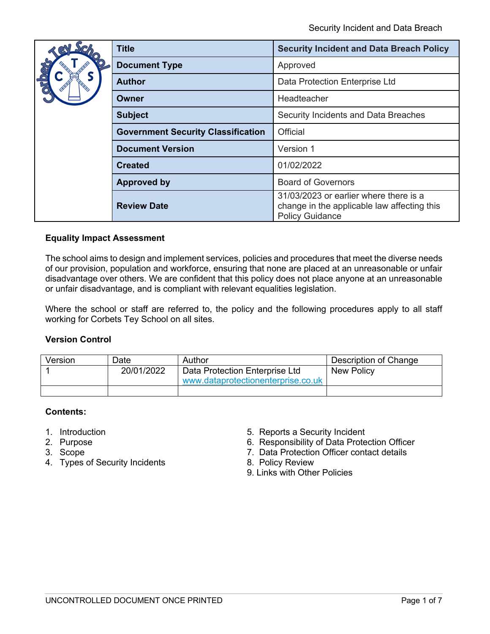| <b>JONO</b> | <b>Title</b>                              | <b>Security Incident and Data Breach Policy</b>                                                                 |
|-------------|-------------------------------------------|-----------------------------------------------------------------------------------------------------------------|
|             | <b>Document Type</b>                      | Approved                                                                                                        |
|             | <b>Author</b>                             | Data Protection Enterprise Ltd                                                                                  |
|             | Owner                                     | Headteacher                                                                                                     |
|             | <b>Subject</b>                            | Security Incidents and Data Breaches                                                                            |
|             | <b>Government Security Classification</b> | Official                                                                                                        |
|             | <b>Document Version</b>                   | Version 1                                                                                                       |
|             | <b>Created</b>                            | 01/02/2022                                                                                                      |
|             | <b>Approved by</b>                        | <b>Board of Governors</b>                                                                                       |
|             | <b>Review Date</b>                        | 31/03/2023 or earlier where there is a<br>change in the applicable law affecting this<br><b>Policy Guidance</b> |

# **Equality Impact Assessment**

The school aims to design and implement services, policies and procedures that meet the diverse needs of our provision, population and workforce, ensuring that none are placed at an unreasonable or unfair disadvantage over others. We are confident that this policy does not place anyone at an unreasonable or unfair disadvantage, and is compliant with relevant equalities legislation.

Where the school or staff are referred to, the policy and the following procedures apply to all staff working for Corbets Tey School on all sites.

# **Version Control**

| Version | Date       | Author                                                               | Description of Change |
|---------|------------|----------------------------------------------------------------------|-----------------------|
|         | 20/01/2022 | Data Protection Enterprise Ltd<br>www.dataprotectionenterprise.co.uk | New Policy            |
|         |            |                                                                      |                       |

## **Contents:**

- 
- 
- 
- 4. Types of Security Incidents
- 1. Introduction 5. Reports a Security Incident
- 2. Purpose 6. Responsibility of Data Protection Officer
- 3. Scope<br>
4. Types of Security Incidents<br>
2. Policy Review<br>
2. Policy Review
	-
	- 9. Links with Other Policies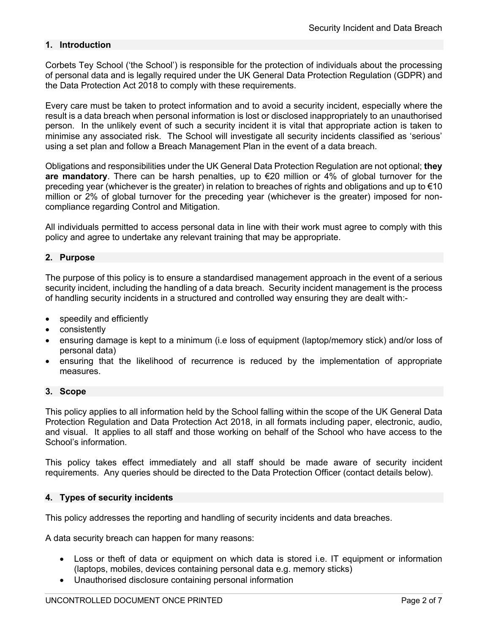## **1. Introduction**

Corbets Tey School ('the School') is responsible for the protection of individuals about the processing of personal data and is legally required under the UK General Data Protection Regulation (GDPR) and the Data Protection Act 2018 to comply with these requirements.

Every care must be taken to protect information and to avoid a security incident, especially where the result is a data breach when personal information is lost or disclosed inappropriately to an unauthorised person. In the unlikely event of such a security incident it is vital that appropriate action is taken to minimise any associated risk. The School will investigate all security incidents classified as 'serious' using a set plan and follow a Breach Management Plan in the event of a data breach.

Obligations and responsibilities under the UK General Data Protection Regulation are not optional; **they are mandatory**. There can be harsh penalties, up to €20 million or 4% of global turnover for the preceding year (whichever is the greater) in relation to breaches of rights and obligations and up to €10 million or 2% of global turnover for the preceding year (whichever is the greater) imposed for noncompliance regarding Control and Mitigation.

All individuals permitted to access personal data in line with their work must agree to comply with this policy and agree to undertake any relevant training that may be appropriate.

## **2. Purpose**

The purpose of this policy is to ensure a standardised management approach in the event of a serious security incident, including the handling of a data breach. Security incident management is the process of handling security incidents in a structured and controlled way ensuring they are dealt with:-

- speedily and efficiently
- consistently
- ensuring damage is kept to a minimum (i.e loss of equipment (laptop/memory stick) and/or loss of personal data)
- ensuring that the likelihood of recurrence is reduced by the implementation of appropriate measures.

#### **3. Scope**

This policy applies to all information held by the School falling within the scope of the UK General Data Protection Regulation and Data Protection Act 2018, in all formats including paper, electronic, audio, and visual. It applies to all staff and those working on behalf of the School who have access to the School's information.

This policy takes effect immediately and all staff should be made aware of security incident requirements. Any queries should be directed to the Data Protection Officer (contact details below).

## **4. Types of security incidents**

This policy addresses the reporting and handling of security incidents and data breaches.

A data security breach can happen for many reasons:

- Loss or theft of data or equipment on which data is stored i.e. IT equipment or information (laptops, mobiles, devices containing personal data e.g. memory sticks)
- Unauthorised disclosure containing personal information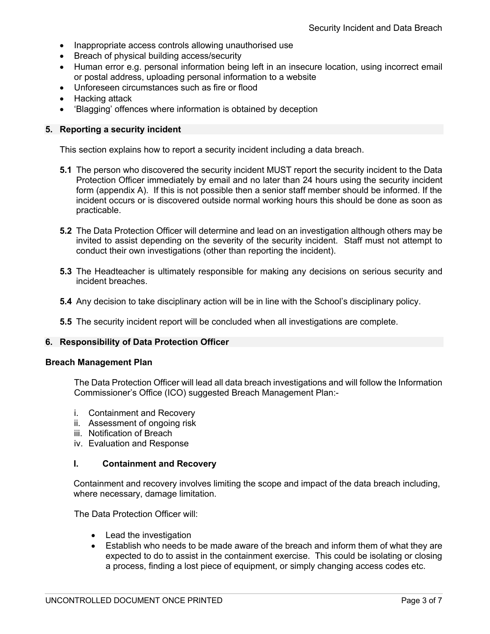- Inappropriate access controls allowing unauthorised use
- Breach of physical building access/security
- Human error e.g. personal information being left in an insecure location, using incorrect email or postal address, uploading personal information to a website
- Unforeseen circumstances such as fire or flood
- Hacking attack
- 'Blagging' offences where information is obtained by deception

#### **5. Reporting a security incident**

This section explains how to report a security incident including a data breach.

- **5.1** The person who discovered the security incident MUST report the security incident to the Data Protection Officer immediately by email and no later than 24 hours using the security incident form (appendix A). If this is not possible then a senior staff member should be informed. If the incident occurs or is discovered outside normal working hours this should be done as soon as practicable.
- **5.2** The Data Protection Officer will determine and lead on an investigation although others may be invited to assist depending on the severity of the security incident. Staff must not attempt to conduct their own investigations (other than reporting the incident).
- **5.3** The Headteacher is ultimately responsible for making any decisions on serious security and incident breaches.
- **5.4** Any decision to take disciplinary action will be in line with the School's disciplinary policy.
- **5.5** The security incident report will be concluded when all investigations are complete.

#### **6. Responsibility of Data Protection Officer**

#### **Breach Management Plan**

The Data Protection Officer will lead all data breach investigations and will follow the Information Commissioner's Office (ICO) suggested Breach Management Plan:-

- i. Containment and Recovery
- ii. Assessment of ongoing risk
- iii. Notification of Breach
- iv. Evaluation and Response

#### **I. Containment and Recovery**

Containment and recovery involves limiting the scope and impact of the data breach including, where necessary, damage limitation.

The Data Protection Officer will:

- Lead the investigation
- Establish who needs to be made aware of the breach and inform them of what they are expected to do to assist in the containment exercise. This could be isolating or closing a process, finding a lost piece of equipment, or simply changing access codes etc.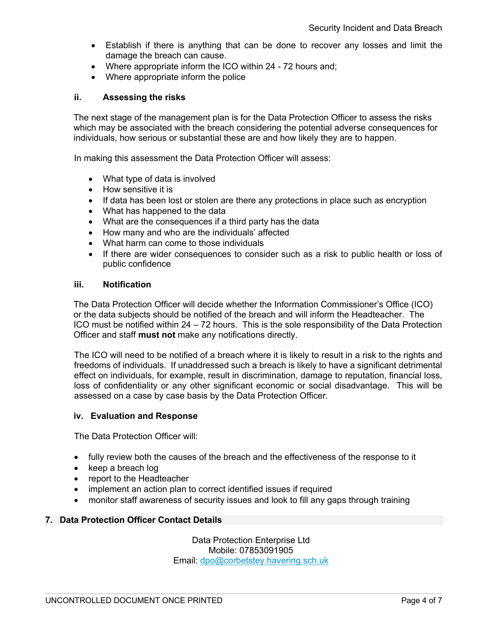- Establish if there is anything that can be done to recover any losses and limit the damage the breach can cause.
- Where appropriate inform the ICO within 24 72 hours and;
- Where appropriate inform the police

## **ii. Assessing the risks**

The next stage of the management plan is for the Data Protection Officer to assess the risks which may be associated with the breach considering the potential adverse consequences for individuals, how serious or substantial these are and how likely they are to happen.

In making this assessment the Data Protection Officer will assess:

- What type of data is involved
- How sensitive it is
- If data has been lost or stolen are there any protections in place such as encryption
- What has happened to the data
- What are the consequences if a third party has the data
- How many and who are the individuals' affected
- What harm can come to those individuals
- If there are wider consequences to consider such as a risk to public health or loss of public confidence

#### **iii. Notification**

The Data Protection Officer will decide whether the Information Commissioner's Office (ICO) or the data subjects should be notified of the breach and will inform the Headteacher. The ICO must be notified within 24 – 72 hours. This is the sole responsibility of the Data Protection Officer and staff **must not** make any notifications directly.

The ICO will need to be notified of a breach where it is likely to result in a risk to the rights and freedoms of individuals. If unaddressed such a breach is likely to have a significant detrimental effect on individuals, for example, result in discrimination, damage to reputation, financial loss, loss of confidentiality or any other significant economic or social disadvantage. This will be assessed on a case by case basis by the Data Protection Officer.

## **iv. Evaluation and Response**

The Data Protection Officer will:

- fully review both the causes of the breach and the effectiveness of the response to it
- keep a breach log
- report to the Headteacher
- implement an action plan to correct identified issues if required
- monitor staff awareness of security issues and look to fill any gaps through training

## **7. Data Protection Officer Contact Details**

Data Protection Enterprise Ltd Mobile: 07853091905 Email: dpo@corbetstey.havering.sch.uk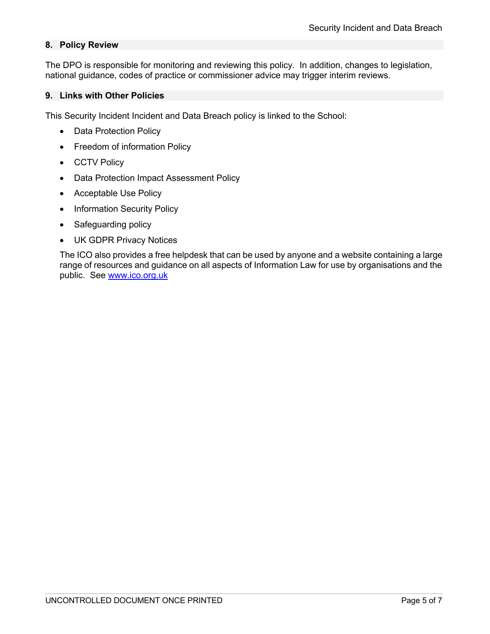# **8. Policy Review**

The DPO is responsible for monitoring and reviewing this policy. In addition, changes to legislation, national guidance, codes of practice or commissioner advice may trigger interim reviews.

## **9. Links with Other Policies**

This Security Incident Incident and Data Breach policy is linked to the School:

- Data Protection Policy
- Freedom of information Policy
- CCTV Policy
- Data Protection Impact Assessment Policy
- Acceptable Use Policy
- Information Security Policy
- Safeguarding policy
- UK GDPR Privacy Notices

The ICO also provides a free helpdesk that can be used by anyone and a website containing a large range of resources and guidance on all aspects of Information Law for use by organisations and the public. See www.ico.org.uk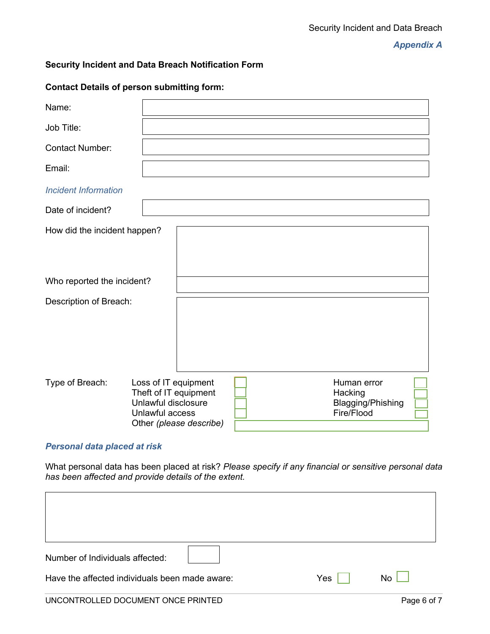*Appendix A*

# **Security Incident and Data Breach Notification Form**

# **Contact Details of person submitting form:**

| Name:                        |                                                                                                                    |  |                                                                  |
|------------------------------|--------------------------------------------------------------------------------------------------------------------|--|------------------------------------------------------------------|
| Job Title:                   |                                                                                                                    |  |                                                                  |
| <b>Contact Number:</b>       |                                                                                                                    |  |                                                                  |
| Email:                       |                                                                                                                    |  |                                                                  |
| <b>Incident Information</b>  |                                                                                                                    |  |                                                                  |
| Date of incident?            |                                                                                                                    |  |                                                                  |
| How did the incident happen? |                                                                                                                    |  |                                                                  |
| Who reported the incident?   |                                                                                                                    |  |                                                                  |
| Description of Breach:       |                                                                                                                    |  |                                                                  |
| Type of Breach:              | Loss of IT equipment<br>Theft of IT equipment<br>Unlawful disclosure<br>Unlawful access<br>Other (please describe) |  | Human error<br>Hacking<br><b>Blagging/Phishing</b><br>Fire/Flood |

# *Personal data placed at risk*

What personal data has been placed at risk? *Please specify if any financial or sensitive personal data has been affected and provide details of the extent.*

| Number of Individuals affected:                |     |             |
|------------------------------------------------|-----|-------------|
| Have the affected individuals been made aware: | Yes | <b>No</b>   |
| UNCONTROLLED DOCUMENT ONCE PRINTED             |     | Page 6 of 7 |